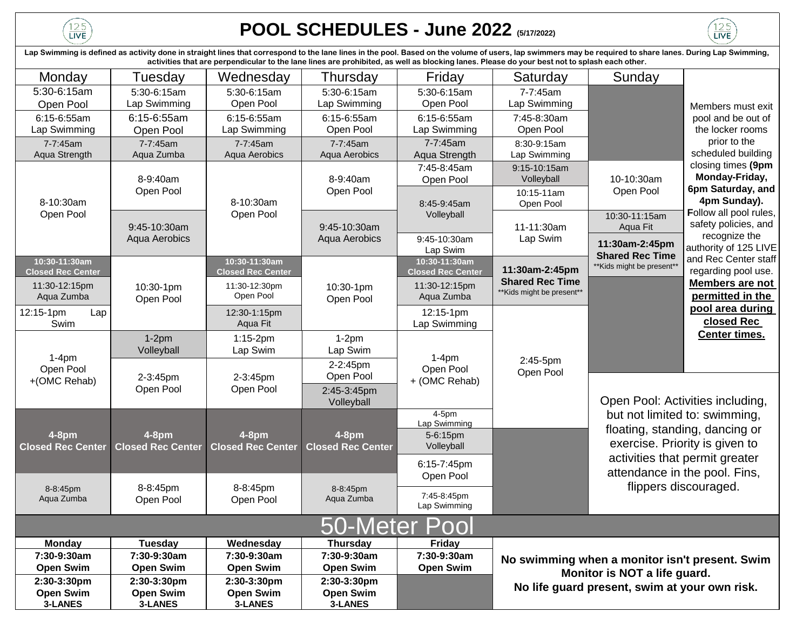$\frac{125}{LIVE}$ 

## **POOL SCHEDULES - June 2022 (5/17/2022)**

Monday | Tuesday | Wednesday | Thursday | Friday | Saturday | Sunday 5:30-6:15am Open Pool 5:30-6:15am Lap Swimming 5:30-6:15am Open Pool 5:30-6:15am Lap Swimming 5:30-6:15am Open Pool 7-7:45am Lap Swimming 6:15-6:55am Lap Swimming 6:15-6:55am Open Pool 6:15-6:55am Lap Swimming 6:15-6:55am Open Pool 6:15-6:55am Lap Swimming 7:45-8:30am Open Pool 7-7:45am Aqua Strength 7-7:45am Aqua Zumba 7-7:45am Aqua Aerobics 7-7:45am Aqua Aerobics 7-7:45am Aqua Strength 8:30-9:15am Lap Swimming 7:45-8:45am Open Pool 9:15-10:15am **Volleyball** 10:15-11am Open Pool 10:30-11:15am Aqua Fit 9:45-10:30am Lap Swim **10:30-11:30am Closed Rec Center 10:30-11:30am Closed Rec Center 10:30-11:30am Closed Rec Center** 11:30-12:15pm Aqua Zumba 11:30-12:30pm Open Pool 11:30-12:15pm Aqua Zumba 12:15-1pm Lap Swim 12:30-1:15pm Aqua Fit 12:15-1pm Lap Swimming 1-2pm Volleyball 1:15-2pm Lap Swim 1-2pm Lap Swim 2:45-3:45pm Volleyball 4-5pm Lap Swimming 7:45-8:45pm Lap Swimming **Monday Tuesday Wednesday Thursday Friday 7:30-9:30am Open Swim 7:30-9:30am Open Swim 7:30-9:30am Open Swim 7:30-9:30am Open Swim 7:30-9:30am Open Swim 2:30-3:30pm Open Swim 3-LANES 2:30-3:30pm Open Swim 3-LANES 2:30-3:30pm Open Swim 3-LANES 2:30-3:30pm Open Swim 3-LANES** 8-9:40am Open Pool 9:45-10:30am Aqua Aerobics 10:30-1pm Open Pool 11-11:30am Lap Swim **4-8pm Closed Rec Center 4-8pm Closed Rec Center 4-8pm Closed Rec Center** 2-3:45pm Open Pool 8-8:45pm Open Pool 50-Meter Poo 1-4pm Open Pool +(OMC Rehab) 5-6:15pm Volleyball 2:45-5pm Open Pool 8-9:40am Open Pool **4-8pm Closed Rec Center 11:30am-2:45pm Shared Rec Time**  \*\*Kids might be present\*\* **11:30am-2:45pm Shared Rec Time**  \*\*Kids might be present\*\* 8-8:45pm Aqua Zumba 8-8:45pm Aqua Zumba Open Pool: Activities including, but not limited to: swimming, floating, standing, dancing or exercise. Priority is given to activities that permit greater attendance in the pool. Fins, flippers discouraged. 9:45-10:30am Aqua Aerobics 10:30-1pm Open Pool 10-10:30am Open Pool **No swimming when a monitor isn't present. Swim Monitor is NOT a life guard. No life guard present, swim at your own risk.** 8:45-9:45am **Volleyball** 2-3:45pm Open Pool 1-4pm Open Pool + (OMC Rehab) 6:15-7:45pm Open Pool 8-8:45pm Open Pool Members must exit pool and be out of the locker rooms prior to the scheduled building closing times **(9pm Monday-Friday, 6pm Saturday, and 4pm Sunday). F**ollow all pool rules, safety policies, and recognize the authority of 125 LIVE and Rec Center staff regarding pool use. **Members are not permitted in the pool area during closed Rec Center times.** Lap Swimming is defined as activity done in straight lines that correspond to the lane lines in the pool. Based on the volume of users, lap swimmers may be required to share lanes. During Lap Swimming, **activities that are perpendicular to the lane lines are prohibited, as well as blocking lanes. Please do your best not to splash each other.** 2-2:45pm Open Pool 8-10:30am Open Pool 8-10:30am Open Pool